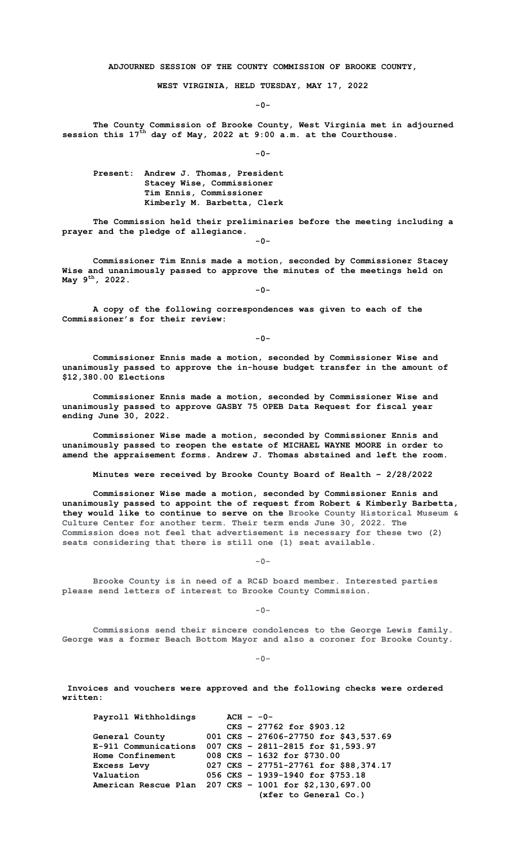**ADJOURNED SESSION OF THE COUNTY COMMISSION OF BROOKE COUNTY,**

**WEST VIRGINIA, HELD TUESDAY, MAY 17, 2022**

**-0-**

**The County Commission of Brooke County, West Virginia met in adjourned session this 17th day of May, 2022 at 9:00 a.m. at the Courthouse.**

**-0-**

**Present: Andrew J. Thomas, President Stacey Wise, Commissioner Tim Ennis, Commissioner Kimberly M. Barbetta, Clerk**

**The Commission held their preliminaries before the meeting including a prayer and the pledge of allegiance.**

**-0-**

**-0-**

**Commissioner Tim Ennis made a motion, seconded by Commissioner Stacey Wise and unanimously passed to approve the minutes of the meetings held on May 9th, 2022.**

**A copy of the following correspondences was given to each of the Commissioner's for their review:**

**-0-**

**Commissioner Ennis made a motion, seconded by Commissioner Wise and unanimously passed to approve the in-house budget transfer in the amount of \$12,380.00 Elections** 

**Commissioner Ennis made a motion, seconded by Commissioner Wise and unanimously passed to approve GASBY 75 OPEB Data Request for fiscal year ending June 30, 2022.**

**Commissioner Wise made a motion, seconded by Commissioner Ennis and unanimously passed to reopen the estate of MICHAEL WAYNE MOORE in order to amend the appraisement forms. Andrew J. Thomas abstained and left the room.**

**Minutes were received by Brooke County Board of Health – 2/28/2022**

**Commissioner Wise made a motion, seconded by Commissioner Ennis and unanimously passed to appoint the of request from Robert & Kimberly Barbetta, they would like to continue to serve on the Brooke County Historical Museum & Culture Center for another term. Their term ends June 30, 2022. The Commission does not feel that advertisement is necessary for these two (2) seats considering that there is still one (1) seat available.** 

**-0-**

**Brooke County is in need of a RC&D board member. Interested parties please send letters of interest to Brooke County Commission.**

**-0-**

**Commissions send their sincere condolences to the George Lewis family. George was a former Beach Bottom Mayor and also a coroner for Brooke County.** 

**-0-**

**Invoices and vouchers were approved and the following checks were ordered written:**

**Payroll Withholdings ACH – -0- CKS – 27762 for \$903.12 General County 001 CKS – 27606-27750 for \$43,537.69 E-911 Communications 007 CKS – 2811-2815 for \$1,593.97 Home Confinement** 008 CKS - 1632 for \$730.00<br>**Excess Levy** 027 CKS - 27751-27761 for \$ **Excess Levy** 027 **CKS** – 27751-27761 **for \$88,374.17**<br> **Valuation** 056 **CKS** – 1939-1940 **for \$753.18 Valuation 056 CKS – 1939-1940 for \$753.18 American Rescue Plan 207 CKS – 1001 for \$2,130,697.00 (xfer to General Co.)**